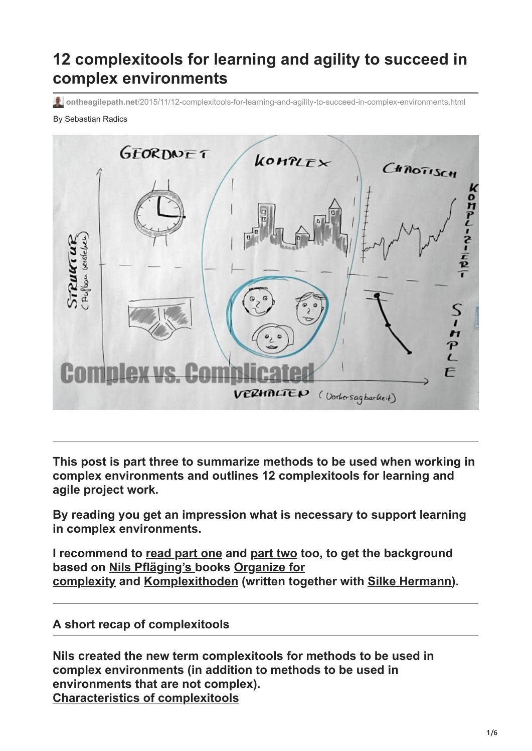# **12 complexitools for learning and agility to succeed in complex environments**

**ontheagilepath.net**[/2015/11/12-complexitools-for-learning-and-agility-to-succeed-in-complex-environments.html](https://www.ontheagilepath.net/2015/11/12-complexitools-for-learning-and-agility-to-succeed-in-complex-environments.html)

#### By Sebastian Radics



**This post is part three to summarize methods to be used when working in complex environments and outlines 12 complexitools for learning and agile project work.**

**By reading you get an impression what is necessary to support learning in complex environments.**

**I recommend to [read part one](http://www.ontheagilepath.net/?p=25) and [part two](http://www.ontheagilepath.net/?p=19) too, to get the background [based on](http://www.organizeforcomplexity.com/shop/) [Nils Pfläging's](http://www.nielspflaeging.com/) [books Organize for](http://www.organizeforcomplexity.com/shop/) complexity and [Komplexithoden](http://www.amazon.de/Komplexithoden-Clevere-Belebung-Unternehmen-Komplexit%C3%A4t/dp/3868815864) (written together with [Silke Hermann\)](http://beta.silkehermann.de/).**

#### **A short recap of complexitools**

**Nils created the new term complexitools for methods to be used in complex environments (in addition to methods to be used in environments that are not complex). Characteristics of complexitools**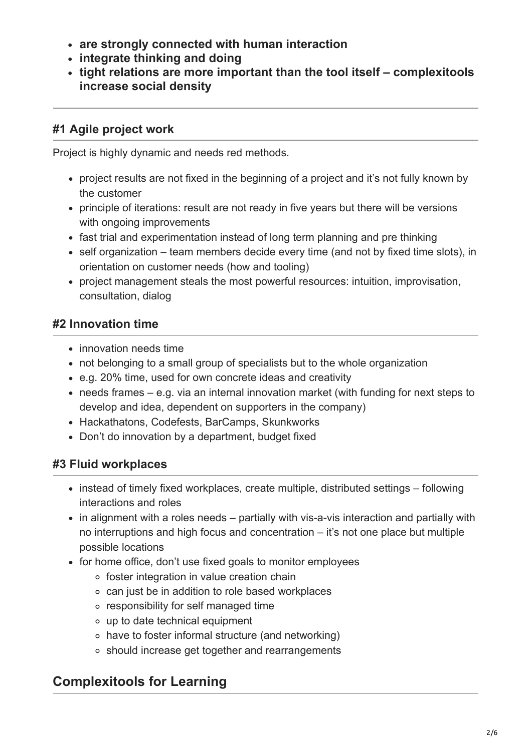- **are strongly connected with human interaction**
- **integrate thinking and doing**
- **tight relations are more important than the tool itself complexitools increase social density**

## **#1 Agile project work**

Project is highly dynamic and needs red methods.

- project results are not fixed in the beginning of a project and it's not fully known by the customer
- principle of iterations: result are not ready in five years but there will be versions with ongoing improvements
- fast trial and experimentation instead of long term planning and pre thinking
- self organization team members decide every time (and not by fixed time slots), in orientation on customer needs (how and tooling)
- project management steals the most powerful resources: intuition, improvisation, consultation, dialog

## **#2 Innovation time**

- innovation needs time
- not belonging to a small group of specialists but to the whole organization
- e.g. 20% time, used for own concrete ideas and creativity
- needs frames e.g. via an internal innovation market (with funding for next steps to develop and idea, dependent on supporters in the company)
- Hackathatons, Codefests, BarCamps, Skunkworks
- Don't do innovation by a department, budget fixed

## **#3 Fluid workplaces**

- instead of timely fixed workplaces, create multiple, distributed settings following interactions and roles
- in alignment with a roles needs partially with vis-a-vis interaction and partially with no interruptions and high focus and concentration – it's not one place but multiple possible locations
- for home office, don't use fixed goals to monitor employees
	- o foster integration in value creation chain
	- can just be in addition to role based workplaces
	- responsibility for self managed time
	- up to date technical equipment
	- have to foster informal structure (and networking)
	- should increase get together and rearrangements

# **Complexitools for Learning**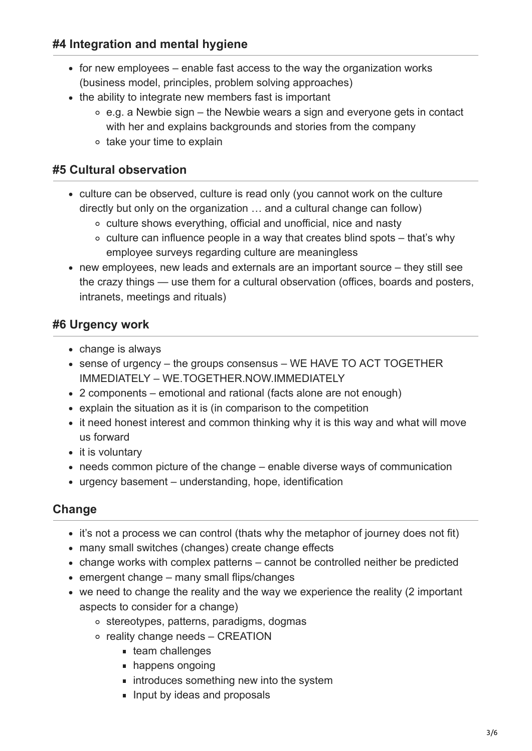#### **#4 Integration and mental hygiene**

- for new employees enable fast access to the way the organization works (business model, principles, problem solving approaches)
- the ability to integrate new members fast is important
	- $\circ$  e.g. a Newbie sign the Newbie wears a sign and everyone gets in contact with her and explains backgrounds and stories from the company
	- o take your time to explain

#### **#5 Cultural observation**

- culture can be observed, culture is read only (you cannot work on the culture directly but only on the organization … and a cultural change can follow)
	- culture shows everything, official and unofficial, nice and nasty
	- $\circ$  culture can influence people in a way that creates blind spots that's why employee surveys regarding culture are meaningless
- new employees, new leads and externals are an important source they still see the crazy things — use them for a cultural observation (offices, boards and posters, intranets, meetings and rituals)

### **#6 Urgency work**

- change is always
- sense of urgency the groups consensus WE HAVE TO ACT TOGETHER IMMEDIATELY – WE.TOGETHER.NOW.IMMEDIATELY
- 2 components emotional and rational (facts alone are not enough)
- explain the situation as it is (in comparison to the competition
- it need honest interest and common thinking why it is this way and what will move us forward
- $\bullet$  it is voluntary
- needs common picture of the change enable diverse ways of communication
- urgency basement understanding, hope, identification

#### **Change**

- it's not a process we can control (thats why the metaphor of journey does not fit)
- many small switches (changes) create change effects
- change works with complex patterns cannot be controlled neither be predicted
- $\bullet$  emergent change many small flips/changes
- we need to change the reality and the way we experience the reality (2 important aspects to consider for a change)
	- stereotypes, patterns, paradigms, dogmas
	- o reality change needs CREATION
		- **team challenges**
		- happens ongoing
		- $\blacksquare$  introduces something new into the system
		- **Input by ideas and proposals**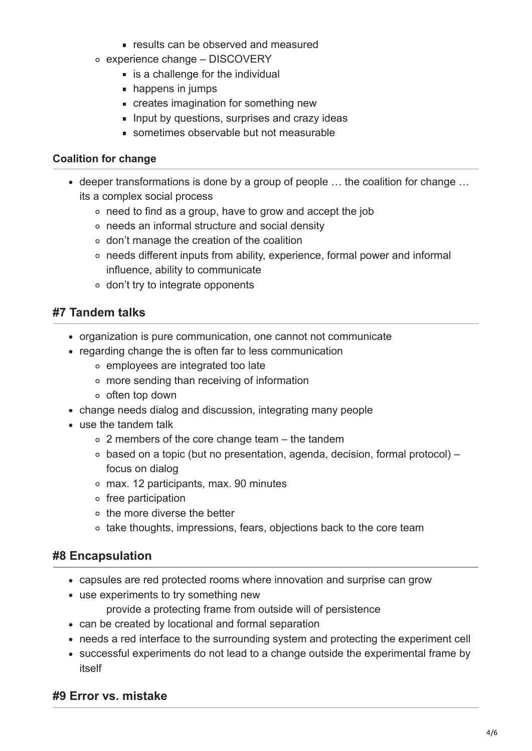- **Figure 1** results can be observed and measured
- experience change DISCOVERY
	- **is a challenge for the individual**
	- **happens in jumps**
	- creates imagination for something new
	- **Input by questions, surprises and crazy ideas**
	- sometimes observable but not measurable

#### **Coalition for change**

- deeper transformations is done by a group of people … the coalition for change … its a complex social process
	- need to find as a group, have to grow and accept the job
	- needs an informal structure and social density
	- don't manage the creation of the coalition
	- needs different inputs from ability, experience, formal power and informal influence, ability to communicate
	- don't try to integrate opponents

#### **#7 Tandem talks**

- organization is pure communication, one cannot not communicate
- regarding change the is often far to less communication
	- employees are integrated too late
	- more sending than receiving of information
	- o often top down
- change needs dialog and discussion, integrating many people
- use the tandem talk
	- 2 members of the core change team the tandem
	- based on a topic (but no presentation, agenda, decision, formal protocol) focus on dialog
	- max. 12 participants, max. 90 minutes
	- $\circ$  free participation
	- $\circ$  the more diverse the better
	- take thoughts, impressions, fears, objections back to the core team

#### **#8 Encapsulation**

- capsules are red protected rooms where innovation and surprise can grow
- use experiments to try something new
	- provide a protecting frame from outside will of persistence
- can be created by locational and formal separation
- needs a red interface to the surrounding system and protecting the experiment cell
- successful experiments do not lead to a change outside the experimental frame by itself

#### **#9 Error vs. mistake**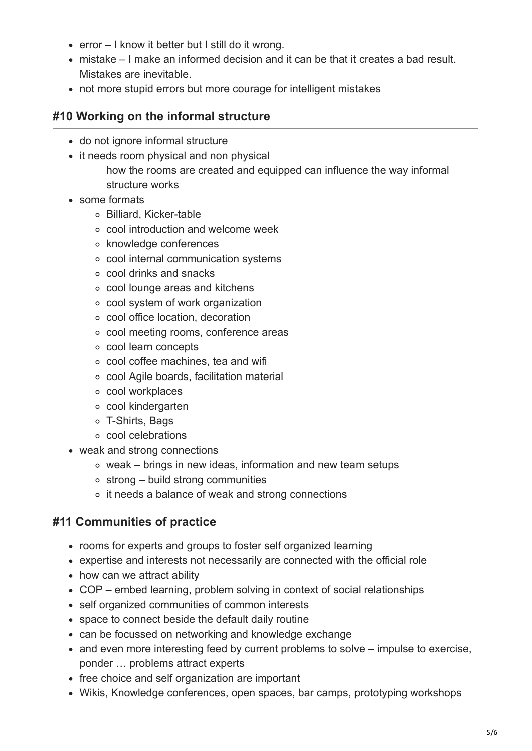- $\bullet$  error I know it better but I still do it wrong.
- mistake I make an informed decision and it can be that it creates a bad result. Mistakes are inevitable.
- not more stupid errors but more courage for intelligent mistakes

#### **#10 Working on the informal structure**

- do not ignore informal structure
- it needs room physical and non physical
	- how the rooms are created and equipped can influence the way informal structure works
- some formats
	- Billiard, Kicker-table
	- cool introduction and welcome week
	- knowledge conferences
	- cool internal communication systems
	- cool drinks and snacks
	- cool lounge areas and kitchens
	- cool system of work organization
	- cool office location, decoration
	- cool meeting rooms, conference areas
	- cool learn concepts
	- cool coffee machines, tea and wifi
	- cool Agile boards, facilitation material
	- o cool workplaces
	- cool kindergarten
	- T-Shirts, Bags
	- cool celebrations
- weak and strong connections
	- weak brings in new ideas, information and new team setups
	- $\circ$  strong build strong communities
	- o it needs a balance of weak and strong connections

### **#11 Communities of practice**

- rooms for experts and groups to foster self organized learning
- expertise and interests not necessarily are connected with the official role
- how can we attract ability
- COP embed learning, problem solving in context of social relationships
- self organized communities of common interests
- space to connect beside the default daily routine
- can be focussed on networking and knowledge exchange
- and even more interesting feed by current problems to solve impulse to exercise, ponder … problems attract experts
- free choice and self organization are important
- Wikis, Knowledge conferences, open spaces, bar camps, prototyping workshops